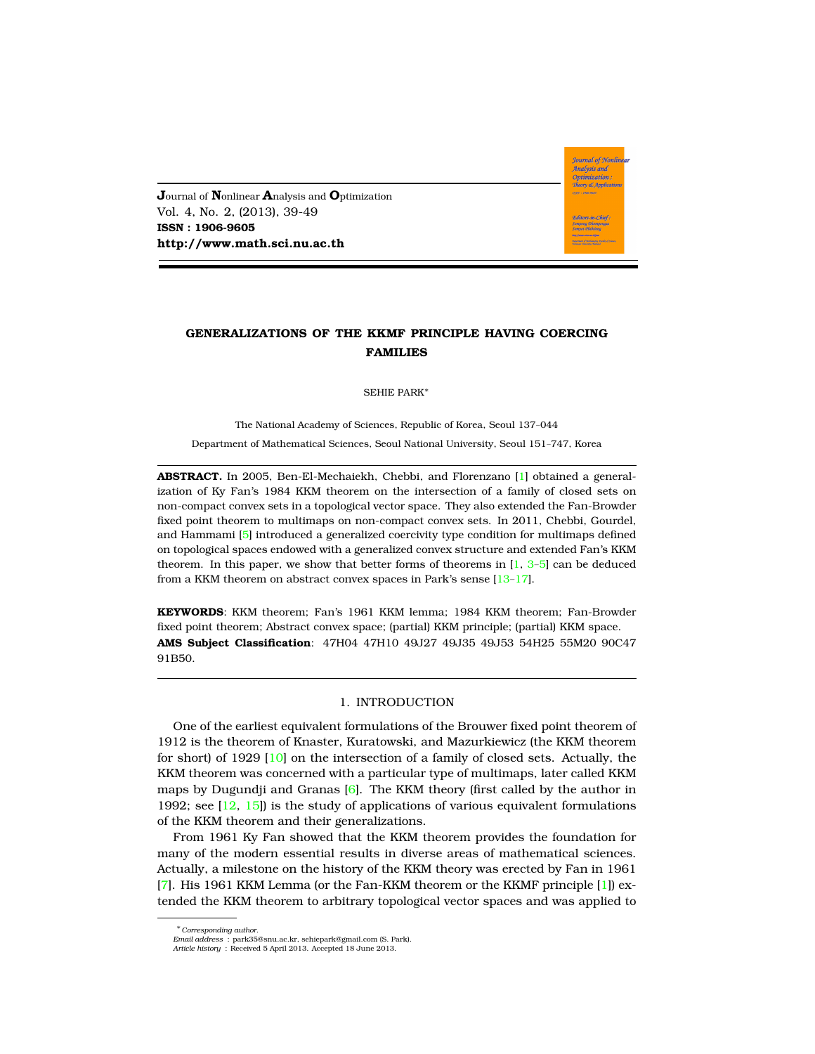**J**ournal of **N**onlinear **A**nalysis and **O**ptimization Vol. 4, No. 2, (2013), 39-49 **ISSN : 1906-9605 http://www.math.sci.nu.ac.th**

# **GENERALIZATIONS OF THE KKMF PRINCIPLE HAVING COERCING FAMILIES**

**Journal of Nonlinear** .<br>Analysis and Optimization Theory & Applicatio

SEHIE PARK<sup>∗</sup>

The National Academy of Sciences, Republic of Korea, Seoul 137–044 Department of Mathematical Sciences, Seoul National University, Seoul 151–747, Korea

**ABSTRACT.** In 2005, Ben-El-Mechaiekh, Chebbi, and Florenzano [\[1\]](#page-9-0) obtained a generalization of Ky Fan's 1984 KKM theorem on the intersection of a family of closed sets on non-compact convex sets in a topological vector space. They also extended the Fan-Browder fixed point theorem to multimaps on non-compact convex sets. In 2011, Chebbi, Gourdel, and Hammami [\[5\]](#page-9-1) introduced a generalized coercivity type condition for multimaps defined on topological spaces endowed with a generalized convex structure and extended Fan's KKM theorem. In this paper, we show that better forms of theorems in  $[1, 3-5]$  $[1, 3-5]$  $[1, 3-5]$  $[1, 3-5]$  can be deduced from a KKM theorem on abstract convex spaces in Park's sense [\[13](#page-9-3)-17].

**KEYWORDS**: KKM theorem; Fan's 1961 KKM lemma; 1984 KKM theorem; Fan-Browder fixed point theorem; Abstract convex space; (partial) KKM principle; (partial) KKM space. **AMS Subject Classification**: 47H04 47H10 49J27 49J35 49J53 54H25 55M20 90C47 91B50.

#### 1. INTRODUCTION

One of the earliest equivalent formulations of the Brouwer fixed point theorem of 1912 is the theorem of Knaster, Kuratowski, and Mazurkiewicz (the KKM theorem for short) of 1929 [\[10\]](#page-9-4) on the intersection of a family of closed sets. Actually, the KKM theorem was concerned with a particular type of multimaps, later called KKM maps by Dugundji and Granas  $[6]$ . The KKM theory (first called by the author in 1992; see [\[12,](#page-9-6) [15\]](#page-10-1)) is the study of applications of various equivalent formulations of the KKM theorem and their generalizations.

From 1961 Ky Fan showed that the KKM theorem provides the foundation for many of the modern essential results in diverse areas of mathematical sciences. Actually, a milestone on the history of the KKM theory was erected by Fan in 1961 [\[7\]](#page-9-7). His 1961 KKM Lemma (or the Fan-KKM theorem or the KKMF principle [\[1\]](#page-9-0)) extended the KKM theorem to arbitrary topological vector spaces and was applied to

<sup>∗</sup>*Corresponding author.*

*Email address* : park35@snu.ac.kr, sehiepark@gmail.com (S. Park). *Article history* : Received 5 April 2013. Accepted 18 June 2013.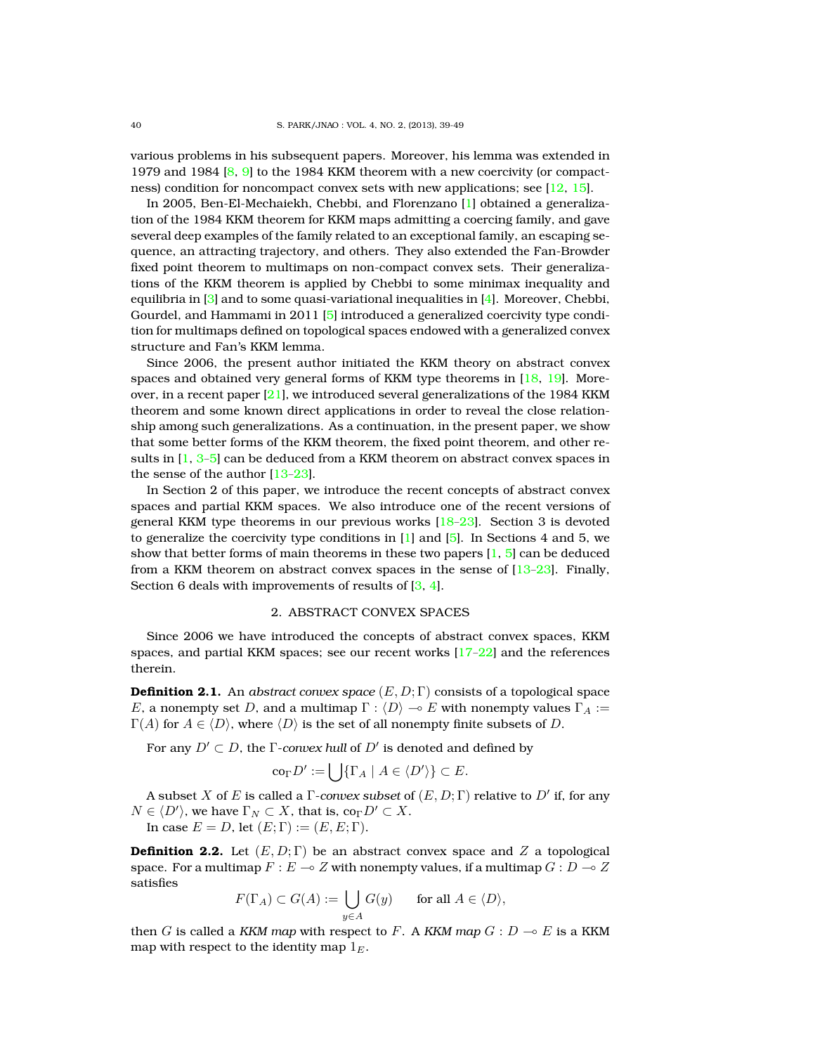various problems in his subsequent papers. Moreover, his lemma was extended in 1979 and 1984 [\[8,](#page-9-8) [9\]](#page-9-9) to the 1984 KKM theorem with a new coercivity (or compactness) condition for noncompact convex sets with new applications; see [\[12,](#page-9-6) [15\]](#page-10-1).

In 2005, Ben-El-Mechaiekh, Chebbi, and Florenzano [\[1\]](#page-9-0) obtained a generalization of the 1984 KKM theorem for KKM maps admitting a coercing family, and gave several deep examples of the family related to an exceptional family, an escaping sequence, an attracting trajectory, and others. They also extended the Fan-Browder fixed point theorem to multimaps on non-compact convex sets. Their generalizations of the KKM theorem is applied by Chebbi to some minimax inequality and equilibria in [\[3\]](#page-9-2) and to some quasi-variational inequalities in [\[4\]](#page-9-10). Moreover, Chebbi, Gourdel, and Hammami in 2011 [\[5\]](#page-9-1) introduced a generalized coercivity type condition for multimaps defined on topological spaces endowed with a generalized convex structure and Fan's KKM lemma.

Since 2006, the present author initiated the KKM theory on abstract convex spaces and obtained very general forms of KKM type theorems in [\[18,](#page-10-2) [19\]](#page-10-3). Moreover, in a recent paper [\[21\]](#page-10-4), we introduced several generalizations of the 1984 KKM theorem and some known direct applications in order to reveal the close relationship among such generalizations. As a continuation, in the present paper, we show that some better forms of the KKM theorem, the fixed point theorem, and other results in  $[1, 3-5]$  $[1, 3-5]$  $[1, 3-5]$  $[1, 3-5]$  can be deduced from a KKM theorem on abstract convex spaces in the sense of the author [\[13](#page-9-3)[–23\]](#page-10-5).

In Section 2 of this paper, we introduce the recent concepts of abstract convex spaces and partial KKM spaces. We also introduce one of the recent versions of general KKM type theorems in our previous works  $[18-23]$  $[18-23]$ . Section 3 is devoted to generalize the coercivity type conditions in  $[1]$  and  $[5]$ . In Sections 4 and 5, we show that better forms of main theorems in these two papers  $[1, 5]$  $[1, 5]$  $[1, 5]$  can be deduced from a KKM theorem on abstract convex spaces in the sense of  $[13-23]$  $[13-23]$ . Finally, Section 6 deals with improvements of results of [\[3,](#page-9-2) [4\]](#page-9-10).

# 2. ABSTRACT CONVEX SPACES

Since 2006 we have introduced the concepts of abstract convex spaces, KKM spaces, and partial KKM spaces; see our recent works [\[17](#page-10-0)[–22\]](#page-10-6) and the references therein.

**Definition 2.1.** An *abstract convex space*  $(E, D; \Gamma)$  consists of a topological space E, a nonempty set D, and a multimap  $\Gamma : \langle D \rangle \to E$  with nonempty values  $\Gamma_A :=$  $\Gamma(A)$  for  $A \in \langle D \rangle$ , where  $\langle D \rangle$  is the set of all nonempty finite subsets of D.

For any  $D'\subset D$ , the  $\Gamma$ *-convex hull* of  $D'$  is denoted and defined by

$$
\mathrm{co}_{\Gamma} D' := \bigcup \{ \Gamma_A \mid A \in \langle D' \rangle \} \subset E.
$$

A subset  $X$  of  $E$  is called a  $\Gamma$ *-convex subset* of  $(E,D;\Gamma)$  relative to  $D'$  if, for any  $N \in \langle D' \rangle$ , we have  $\Gamma_N \subset X$ , that is, co $_\Gamma D' \subset X$ . In case  $E = D$ , let  $(E; \Gamma) := (E, E; \Gamma)$ .

**Definition 2.2.** Let  $(E, D; \Gamma)$  be an abstract convex space and Z a topological

space. For a multimap  $F : E \to Z$  with nonempty values, if a multimap  $G : D \to Z$ satisfies

$$
F(\Gamma_A) \subset G(A) := \bigcup_{y \in A} G(y) \quad \text{for all } A \in \langle D \rangle,
$$

then G is called a *KKM map* with respect to F. A *KKM map*  $G: D \to E$  is a KKM map with respect to the identity map  $1<sub>E</sub>$ .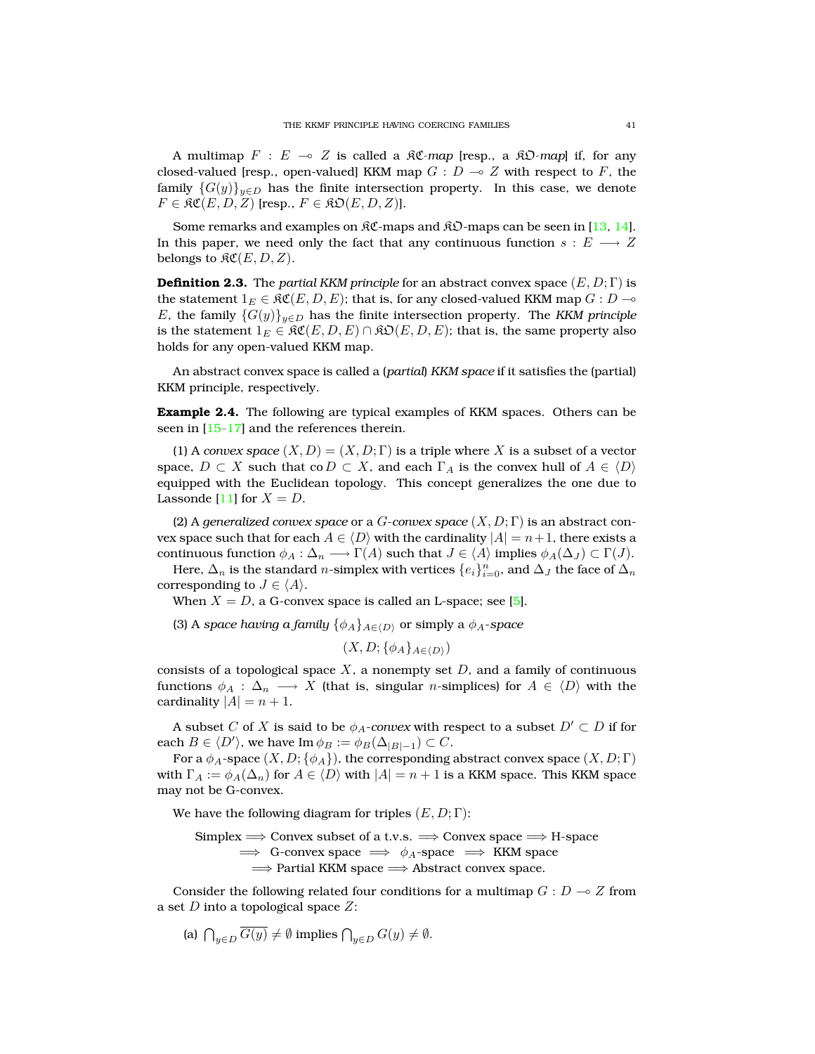A multimap  $F : E \multimap Z$  is called a  $\Re\mathcal{C}$ -map [resp., a  $\Re\mathcal{D}$ -map] if, for any closed-valued [resp., open-valued] KKM map  $G : D \to Z$  with respect to F, the family  ${G(y)}_{y\in D}$  has the finite intersection property. In this case, we denote  $F \in \mathfrak{RC}(E, D, Z)$  [resp.,  $F \in \mathfrak{RD}(E, D, Z)$ ].

Some remarks and examples on  $\mathfrak{RC}$ -maps and  $\mathfrak{RD}$ -maps can be seen in [\[13,](#page-9-3) [14\]](#page-10-7). In this paper, we need only the fact that any continuous function  $s : E \longrightarrow Z$ belongs to  $\mathcal{RC}(E, D, Z)$ .

**Definition 2.3.** The *partial KKM principle* for an abstract convex space  $(E, D; \Gamma)$  is the statement  $1_E \in \mathfrak{RC}(E,D,E)$ ; that is, for any closed-valued KKM map  $G: D \multimap$ E, the family  ${G(y)}_{y\in D}$  has the finite intersection property. The *KKM principle* is the statement  $1_E \in \mathfrak{RC}(E, D, E) \cap \mathfrak{RO}(E, D, E)$ ; that is, the same property also holds for any open-valued KKM map.

An abstract convex space is called a (*partial*) *KKM space* if it satisfies the (partial) KKM principle, respectively.

**Example 2.4.** The following are typical examples of KKM spaces. Others can be seen in  $[15-17]$  $[15-17]$  and the references therein.

(1) A *convex space*  $(X, D) = (X, D; \Gamma)$  is a triple where X is a subset of a vector space,  $D \subset X$  such that co  $D \subset X$ , and each  $\Gamma_A$  is the convex hull of  $A \in \langle D \rangle$ equipped with the Euclidean topology. This concept generalizes the one due to Lassonde [\[11\]](#page-9-11) for  $X = D$ .

(2) A *generalized convex space* or a G-*convex space* (X, D; Γ) is an abstract convex space such that for each  $A \in \langle D \rangle$  with the cardinality  $|A| = n+1$ , there exists a continuous function  $\phi_A : \Delta_n \longrightarrow \Gamma(A)$  such that  $J \in \langle A \rangle$  implies  $\phi_A(\Delta_J) \subset \Gamma(J)$ .

Here,  $\Delta_n$  is the standard  $n$ -simplex with vertices  $\{e_i\}_{i=0}^n$ , and  $\Delta_J$  the face of  $\Delta_n$ corresponding to  $J \in \langle A \rangle$ .

When  $X = D$ , a G-convex space is called an L-space; see [\[5\]](#page-9-1).

(3) A *space having a family*  $\{\phi_A\}_{A \in \langle D \rangle}$  or simply a  $\phi_A$ -*space* 

 $(X, D; {\phi_A}_{A\in\langle D\rangle})$ 

consists of a topological space  $X$ , a nonempty set  $D$ , and a family of continuous functions  $\phi_A$  :  $\Delta_n$   $\longrightarrow$  X (that is, singular *n*-simplices) for  $A \in \langle D \rangle$  with the cardinality  $|A| = n + 1$ .

A subset C of X is said to be  $\phi_A$ -convex with respect to a subset  $D' \subset D$  if for each  $B \in \langle D' \rangle$ , we have Im  $\phi_B := \phi_B(\Delta_{|B|-1}) \subset C$ .

For a  $\phi_A$ -space  $(X, D; {\phi_A})$ , the corresponding abstract convex space  $(X, D; \Gamma)$ with  $\Gamma_A := \phi_A(\Delta_n)$  for  $A \in \langle D \rangle$  with  $|A| = n + 1$  is a KKM space. This KKM space may not be G-convex.

We have the following diagram for triples  $(E, D; \Gamma)$ :

 $Simplex \Longrightarrow Convex subset of a t.v.s. \Longrightarrow Convex space \Longrightarrow H-space$  $\implies$  G-convex space  $\implies \phi_A$ -space  $\implies$  KKM space =⇒ Partial KKM space =⇒ Abstract convex space.

Consider the following related four conditions for a multimap  $G : D \to Z$  from a set  $D$  into a topological space  $Z$ :

(a)  $\bigcap_{y\in D} G(y) \neq \emptyset$  implies  $\bigcap_{y\in D} G(y) \neq \emptyset$ .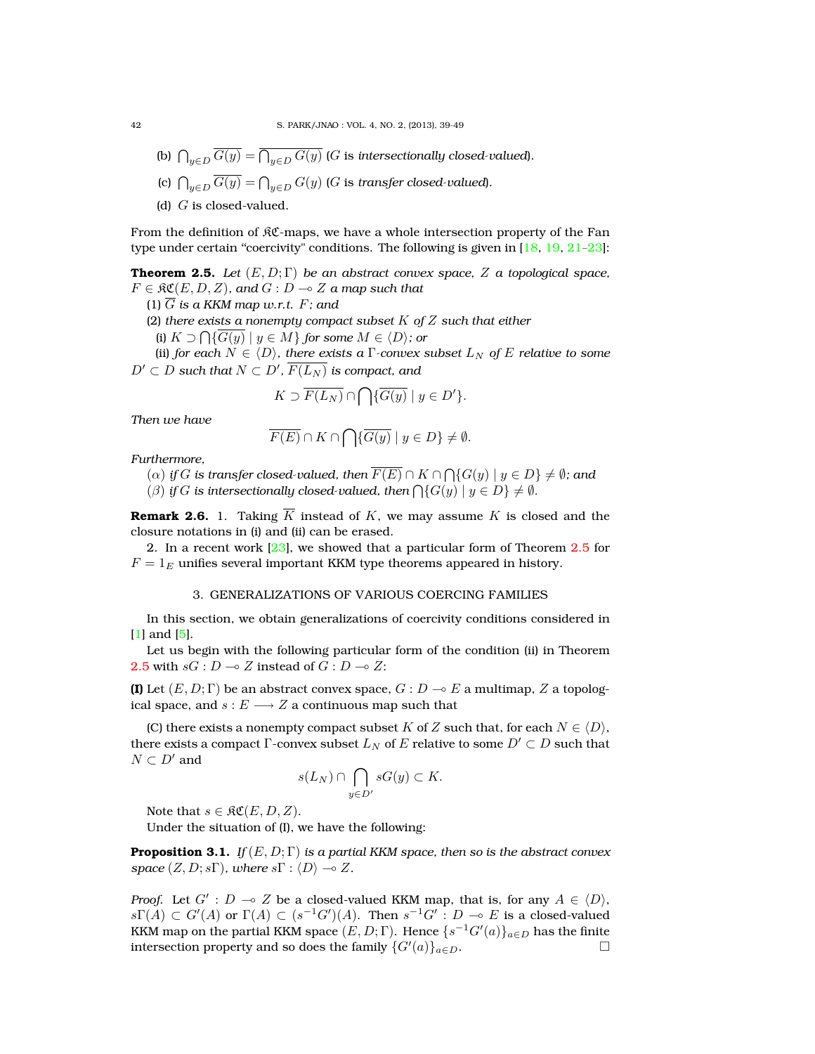- (b)  $\bigcap_{y\in D}G(y)=\bigcap_{y\in D}G(y)$  (G is intersectionally closed-valued).
- (c)  $\bigcap_{y\in D}G(y)=\bigcap_{y\in D}G(y)$  ( $G$  is *transfer closed-valued*).
- (d)  $G$  is closed-valued.

From the definition of  $\Re \mathfrak{C}$ -maps, we have a whole intersection property of the Fan type under certain "coercivity" conditions. The following is given in  $[18, 19, 21-23]$  $[18, 19, 21-23]$  $[18, 19, 21-23]$  $[18, 19, 21-23]$  $[18, 19, 21-23]$  $[18, 19, 21-23]$ :

<span id="page-3-0"></span>**Theorem 2.5.** *Let*  $(E, D; \Gamma)$  *be an abstract convex space,* Z *a topological space,*  $F \in \mathfrak{RC}(E, D, Z)$ , and  $G : D \to Z$  a map such that

(1)  $\overline{G}$  *is a KKM map w.r.t.*  $F$ *; and* 

(2) *there exists a nonempty compact subset* K *of* Z *such that either*

(i)  $K \supset \bigcap \{G(y) \mid y \in M\}$  *for some*  $M \in \langle D \rangle$ *; or* 

(ii) *for each*  $N \in \langle D \rangle$ *, there exists a* Γ*-convex subset*  $L_N$  *of* E *relative to some*  $D'\subset D$  such that  $N\subset D'$ ,  $\overline{F(L_N)}$  is compact, and

$$
K \supset \overline{F(L_N)} \cap \bigcap \{\overline{G(y)} \mid y \in D'\}.
$$

*Then we have*

$$
\overline{F(E)} \cap K \cap \bigcap \{ \overline{G(y)} \mid y \in D \} \neq \emptyset.
$$

*Furthermore,*

 $\Gamma(\alpha)$  *if*  $G$  *is transfer closed-valued, then*  $F(E) \cap K \cap \bigcap \{G(y) \mid y \in D\} \neq \emptyset$ *; and* 

( $\beta$ ) *if*  $G$  *is intersectionally closed-valued, then*  $\bigcap \{G(y) \mid y \in D\} \neq \emptyset$ *.* 

**Remark 2.6.** 1. Taking  $\overline{K}$  instead of K, we may assume K is closed and the closure notations in (i) and (ii) can be erased.

2. In a recent work  $[23]$ , we showed that a particular form of Theorem  $2.5$  for  $F = 1<sub>E</sub>$  unifies several important KKM type theorems appeared in history.

# 3. GENERALIZATIONS OF VARIOUS COERCING FAMILIES

In this section, we obtain generalizations of coercivity conditions considered in [\[1\]](#page-9-0) and [\[5\]](#page-9-1).

Let us begin with the following particular form of the condition (ii) in Theorem [2.5](#page-3-0) with  $sG : D \to Z$  instead of  $G : D \to Z$ :

**(I)** Let  $(E, D; \Gamma)$  be an abstract convex space,  $G: D \to E$  a multimap, Z a topological space, and  $s : E \longrightarrow Z$  a continuous map such that

(C) there exists a nonempty compact subset K of Z such that, for each  $N \in \langle D \rangle$ , there exists a compact Γ-convex subset  $L_N$  of E relative to some  $D' \subset D$  such that  $N \subset D'$  and

$$
s(L_N) \cap \bigcap_{y \in D'} sG(y) \subset K.
$$

Note that  $s \in \mathfrak{RC}(E, D, Z)$ .

Under the situation of (I), we have the following:

<span id="page-3-1"></span>**Proposition 3.1.** *If*  $(E, D; \Gamma)$  *is a partial KKM space, then so is the abstract convex space*  $(Z, D; s\Gamma)$ *, where*  $s\Gamma$  :  $\langle D \rangle \rightarrow Z$ *.* 

*Proof.* Let  $G'$ :  $D \multimap Z$  be a closed-valued KKM map, that is, for any  $A \in \langle D \rangle$ ,  $s\Gamma(A) \subset G'(A)$  or  $\Gamma(A) \subset (s^{-1}G')(A)$ . Then  $s^{-1}G' : D \multimap E$  is a closed-valued KKM map on the partial KKM space  $(E,D;\Gamma).$  Hence  $\{s^{-1}G'(a)\}_{a\in D}$  has the finite intersection property and so does the family  $\{G'(a)\}_{a\in D}$ .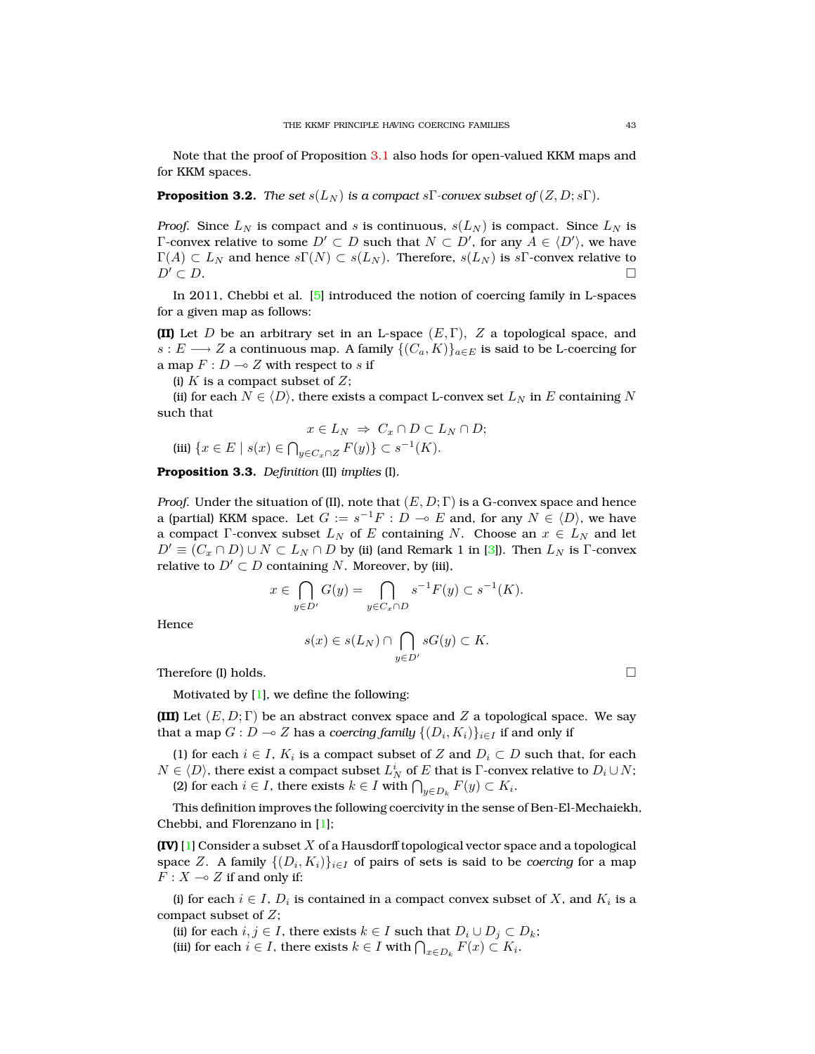Note that the proof of Proposition [3.1](#page-3-1) also hods for open-valued KKM maps and for KKM spaces.

<span id="page-4-0"></span>**Proposition 3.2.** *The set*  $s(L_N)$  *is a compact*  $s\Gamma$ *-convex subset of*  $(Z, D; s\Gamma)$ *.* 

*Proof.* Since  $L_N$  is compact and s is continuous,  $s(L_N)$  is compact. Since  $L_N$  is Γ-convex relative to some  $D' \subset D$  such that  $N \subset D'$ , for any  $A \in \langle D' \rangle$ , we have  $\Gamma(A) \subset L_N$  and hence  $s\Gamma(N) \subset s(L_N)$ . Therefore,  $s(L_N)$  is  $s\Gamma$ -convex relative to  $D' \subset D$ .

In 2011, Chebbi et al. [\[5\]](#page-9-1) introduced the notion of coercing family in L-spaces for a given map as follows:

**(II)** Let D be an arbitrary set in an L-space  $(E, \Gamma)$ , Z a topological space, and  $s: E \longrightarrow Z$  a continuous map. A family  $\{(C_a, K)\}_{a \in E}$  is said to be L-coercing for a map  $F: D \longrightarrow Z$  with respect to s if

(i)  $K$  is a compact subset of  $Z$ ;

(ii) for each  $N \in \langle D \rangle$ , there exists a compact L-convex set  $L_N$  in E containing N such that

$$
x \in L_N \Rightarrow C_x \cap D \subset L_N \cap D;
$$

$$
(iii) \{x \in E \mid s(x) \in \bigcap_{y \in C_x \cap Z} F(y)\} \subset s^{-1}(K).
$$

**Proposition 3.3.** *Definition* (II) *implies* (I)*.*

*Proof.* Under the situation of (II), note that  $(E, D; \Gamma)$  is a G-convex space and hence a (partial) KKM space. Let  $G := s^{-1}F : D \multimap E$  and, for any  $N \in \langle D \rangle$ , we have a compact Γ-convex subset  $L_N$  of E containing N. Choose an  $x \in L_N$  and let  $D' \equiv (C_x \cap D) \cup N \subset L_N \cap D$  by (ii) (and Remark 1 in [\[3\]](#page-9-2)). Then  $L_N$  is Γ-convex relative to  $D' \subset D$  containing N. Moreover, by (iii),

$$
x \in \bigcap_{y \in D'} G(y) = \bigcap_{y \in C_x \cap D} s^{-1} F(y) \subset s^{-1}(K).
$$

Hence

$$
s(x) \in s(L_N) \cap \bigcap_{y \in D'} sG(y) \subset K.
$$

Therefore (I) holds.  $\Box$ 

Motivated by [\[1\]](#page-9-0), we define the following:

**(III)** Let  $(E, D; \Gamma)$  be an abstract convex space and Z a topological space. We say that a map  $G: D \multimap Z$  has a *coercing family*  $\{ (D_i, K_i) \}_{i \in I}$  if and only if

(1) for each  $i \in I$ ,  $K_i$  is a compact subset of Z and  $D_i \subset D$  such that, for each  $N\in\langle D\rangle,$  there exist a compact subset  $L^i_N$  of  $E$  that is  $\Gamma$ -convex relative to  $D_i\cup N;$ (2) for each  $i \in I$ , there exists  $k \in I$  with  $\bigcap_{y \in D_k} F(y) \subset K_i$ .

This definition improves the following coercivity in the sense of Ben-El-Mechaiekh, Chebbi, and Florenzano in [\[1\]](#page-9-0);

**(IV)** [\[1\]](#page-9-0) Consider a subset X of a Hausdorff topological vector space and a topological space  $Z.$  A family  $\{(D_i,K_i)\}_{i\in I}$  of pairs of sets is said to be *coercing* for a map  $F: X \longrightarrow Z$  if and only if:

(i) for each  $i \in I$ ,  $D_i$  is contained in a compact convex subset of X, and  $K_i$  is a compact subset of Z;

(ii) for each  $i, j \in I$ , there exists  $k \in I$  such that  $D_i \cup D_j \subset D_k$ ;

(iii) for each  $i \in I$ , there exists  $k \in I$  with  $\bigcap_{x \in D_k} F(x) \subset K_i$ .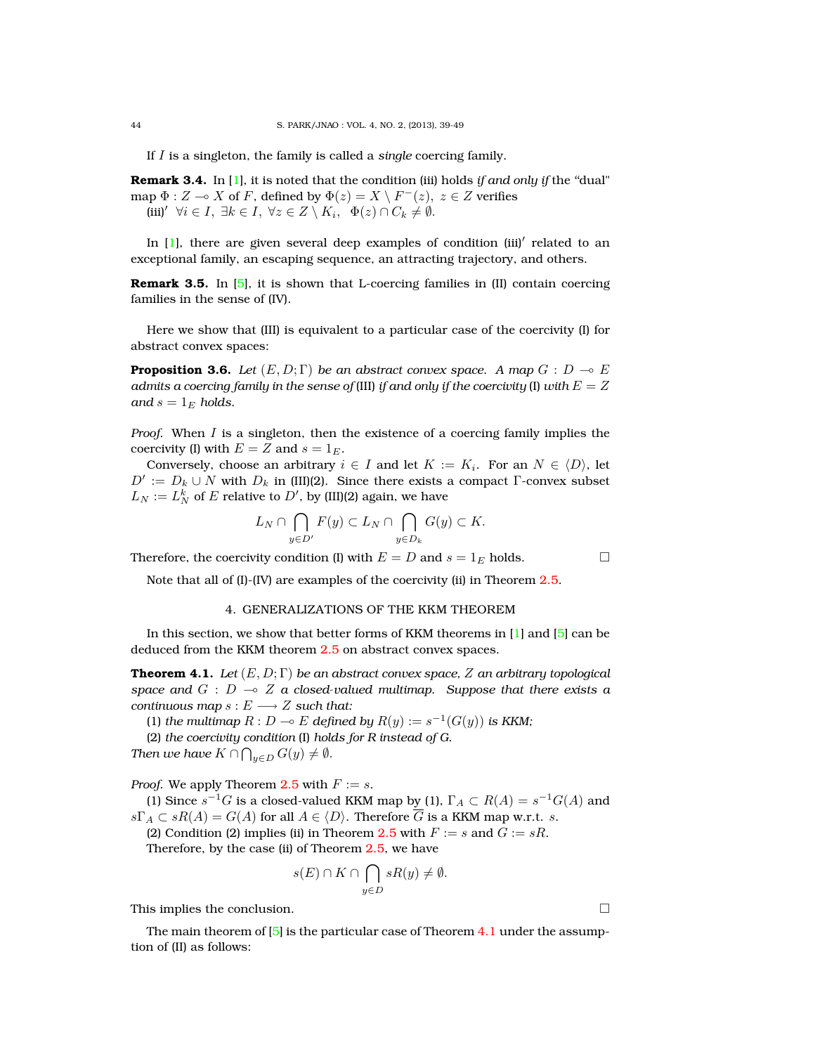If I is a singleton, the family is called a *single* coercing family.

**Remark 3.4.** In [\[1\]](#page-9-0), it is noted that the condition (iii) holds *if and only if* the "dual" map  $\Phi: Z \to X$  of F, defined by  $\Phi(z) = X \setminus F^{-}(z), z \in Z$  verifies (iii)'  $\forall i \in I, \exists k \in I, \ \forall z \in Z \setminus K_i, \ \Phi(z) \cap C_k \neq \emptyset.$ 

In [\[1\]](#page-9-0), there are given several deep examples of condition (iii)' related to an exceptional family, an escaping sequence, an attracting trajectory, and others.

**Remark 3.5.** In [\[5\]](#page-9-1), it is shown that L-coercing families in (II) contain coercing families in the sense of (IV).

Here we show that (III) is equivalent to a particular case of the coercivity (I) for abstract convex spaces:

**Proposition 3.6.** *Let*  $(E, D; \Gamma)$  *be an abstract convex space. A map*  $G: D \to E$ *admits a coercing family in the sense of (III) if and only if the coercivity* (I) *with*  $E = Z$ *and*  $s = 1_E$  *holds.* 

*Proof.* When I is a singleton, then the existence of a coercing family implies the coercivity (I) with  $E = Z$  and  $s = 1<sub>E</sub>$ .

Conversely, choose an arbitrary  $i \in I$  and let  $K := K_i$ . For an  $N \in \langle D \rangle$ , let  $D' := D_k \cup N$  with  $D_k$  in (III)(2). Since there exists a compact  $\Gamma$ -convex subset  $L_N := L_N^k$  of  $E$  relative to  $D'$ , by (III)(2) again, we have

$$
L_N \cap \bigcap_{y \in D'} F(y) \subset L_N \cap \bigcap_{y \in D_k} G(y) \subset K.
$$

Therefore, the coercivity condition (I) with  $E = D$  and  $s = 1_E$  holds.

Note that all of (I)-(IV) are examples of the coercivity (ii) in Theorem [2.5.](#page-3-0)

# 4. GENERALIZATIONS OF THE KKM THEOREM

In this section, we show that better forms of KKM theorems in [\[1\]](#page-9-0) and [\[5\]](#page-9-1) can be deduced from the KKM theorem [2.5](#page-3-0) on abstract convex spaces.

<span id="page-5-0"></span>**Theorem 4.1.** *Let* (E, D; Γ) *be an abstract convex space,* Z *an arbitrary topological space and*  $G : D \multimap Z$  *a closed-valued multimap. Suppose that there exists a continuous map*  $s : E \longrightarrow Z$  *such that:* 

(1) *the multimap*  $R : D \multimap E$  *defined by*  $R(y) := s^{-1}(G(y))$  *is KKM*;

(2) *the coercivity condition* (I) *holds for R instead of G.*

*Then we have*  $K \cap \bigcap_{y \in D} G(y) \neq \emptyset$ *.* 

*Proof.* We apply Theorem [2.5](#page-3-0) with  $F := s$ .

(1) Since  $s^{-1}G$  is a closed-valued KKM map by (1),  $\Gamma_A \subset R(A) = s^{-1}G(A)$  and  $s\Gamma_A \subset sR(A) = G(A)$  for all  $A \in \langle D \rangle$ . Therefore  $\overline{G}$  is a KKM map w.r.t. s.

(2) Condition (2) implies (ii) in Theorem [2.5](#page-3-0) with  $F := s$  and  $G := sR$ .

Therefore, by the case (ii) of Theorem [2.5,](#page-3-0) we have

$$
s(E) \cap K \cap \bigcap_{y \in D} sR(y) \neq \emptyset.
$$

This implies the conclusion.

The main theorem of  $[5]$  is the particular case of Theorem [4.1](#page-5-0) under the assumption of (II) as follows: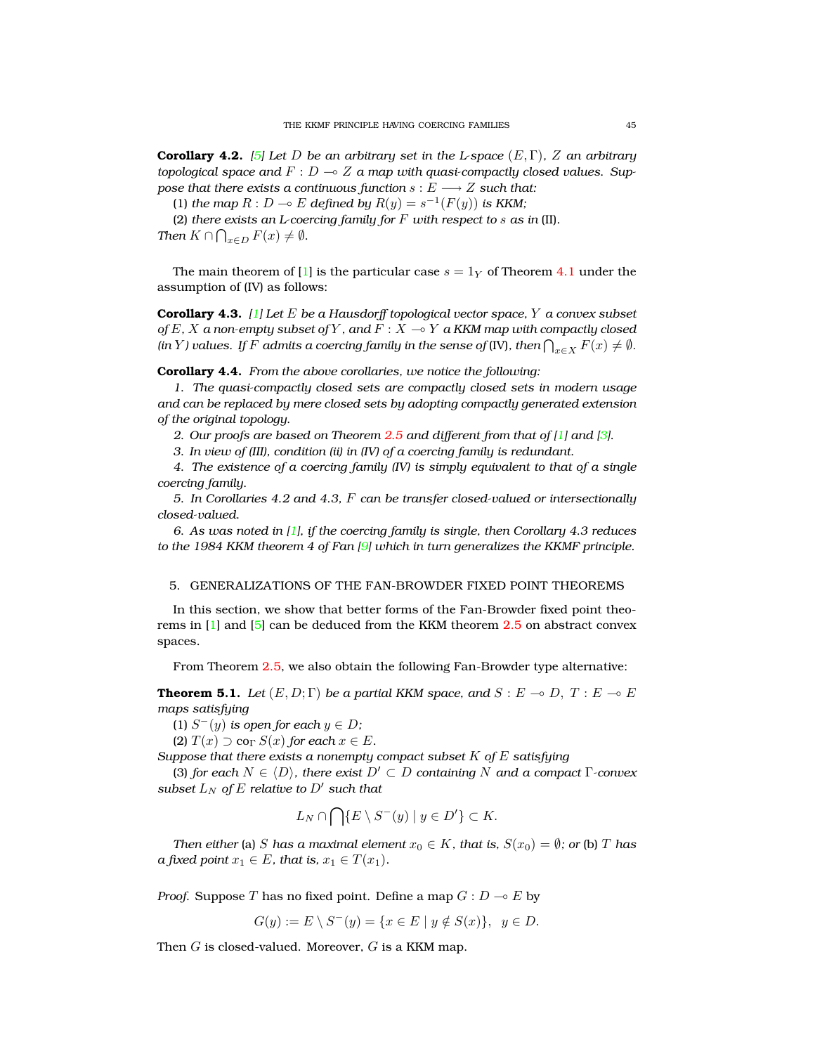**Corollary 4.2.** *[\[5\]](#page-9-1) Let* D *be an arbitrary set in the L-space* (E, Γ)*,* Z *an arbitrary topological space and*  $F: D \to Z$  *a map with quasi-compactly closed values. Suppose that there exists a continuous function*  $s : E \longrightarrow Z$  *such that:* 

(1) *the map*  $R: D \to E$  *defined by*  $R(y) = s^{-1}(F(y))$  *is KKM*;

(2) *there exists an L-coercing family for* F *with respect to* s *as in* (II)*. Then*  $K \cap \bigcap_{x \in D} F(x) \neq \emptyset$ .

The main theorem of [\[1\]](#page-9-0) is the particular case  $s = 1<sub>Y</sub>$  of Theorem [4.1](#page-5-0) under the assumption of (IV) as follows:

**Corollary 4.3.** *[\[1\]](#page-9-0) Let* E *be a Hausdorff topological vector space,* Y *a convex subset of*  $E$  *,*  $X$  *a non-empty subset of*  $Y$  *, and*  $F : X \to Y$  *a KKM map with compactly closed (in Y ) values. If*  $F$  *admits a coercing family in the sense of (IV), then*  $\bigcap_{x\in X} F(x)\neq \emptyset$ *.* 

**Corollary 4.4.** *From the above corollaries, we notice the following:*

*1. The quasi-compactly closed sets are compactly closed sets in modern usage and can be replaced by mere closed sets by adopting compactly generated extension of the original topology.*

*2. Our proofs are based on Theorem [2.5](#page-3-0) and different from that of [\[1\]](#page-9-0) and [\[3\]](#page-9-2).*

*3. In view of (III), condition (ii) in (IV) of a coercing family is redundant.*

*4. The existence of a coercing family (IV) is simply equivalent to that of a single coercing family.*

*5. In Corollaries 4.2 and 4.3,* F *can be transfer closed-valued or intersectionally closed-valued.*

*6. As was noted in [\[1\]](#page-9-0), if the coercing family is single, then Corollary 4.3 reduces to the 1984 KKM theorem 4 of Fan [\[9\]](#page-9-9) which in turn generalizes the KKMF principle.*

#### 5. GENERALIZATIONS OF THE FAN-BROWDER FIXED POINT THEOREMS

In this section, we show that better forms of the Fan-Browder fixed point theorems in [\[1\]](#page-9-0) and [\[5\]](#page-9-1) can be deduced from the KKM theorem [2.5](#page-3-0) on abstract convex spaces.

From Theorem [2.5,](#page-3-0) we also obtain the following Fan-Browder type alternative:

<span id="page-6-0"></span>**Theorem 5.1.** *Let*  $(E, D; \Gamma)$  *be a partial KKM space, and*  $S : E \to D$ ,  $T : E \to E$ *maps satisfying*

(1)  $S^-(y)$  *is open for each*  $y \in D$ ;

(2)  $T(x) \supseteq \text{co}_{\Gamma} S(x)$  *for each*  $x \in E$ *.* 

*Suppose that there exists a nonempty compact subset* K *of* E *satisfying*

(3) *for each*  $N \in \langle D \rangle$ *, there exist*  $D' \subset D$  *containing* N *and a compact* Γ*-convex subset*  $L_N$  *of*  $E$  *relative to*  $D'$  *such that* 

$$
L_N \cap \bigcap \{ E \setminus S^-(y) \mid y \in D' \} \subset K.
$$

*Then either* (a) *S has a maximal element*  $x_0 \in K$ *, that is,*  $S(x_0) = \emptyset$ *; or* (b) *T has a fixed point*  $x_1 \in E$ *, that is,*  $x_1 \in T(x_1)$ *.* 

*Proof.* Suppose T has no fixed point. Define a map  $G: D \to E$  by

$$
G(y) := E \setminus S^-(y) = \{ x \in E \mid y \notin S(x) \}, \ y \in D.
$$

Then  $G$  is closed-valued. Moreover,  $G$  is a KKM map.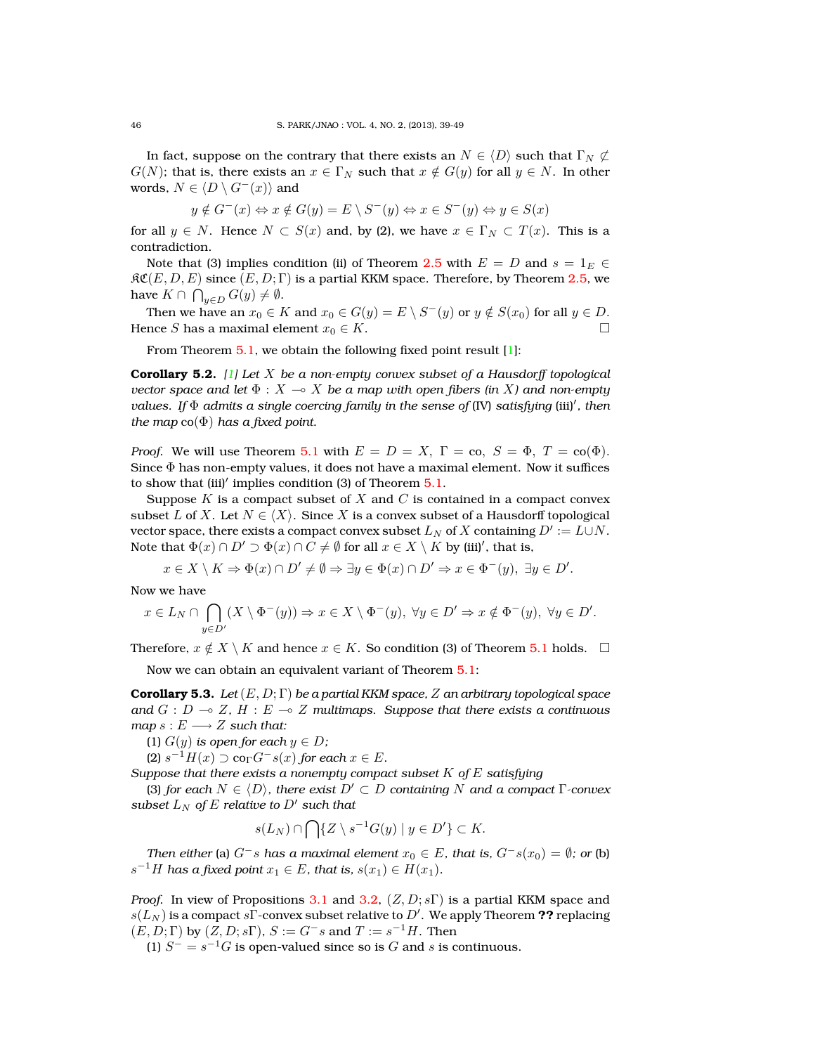In fact, suppose on the contrary that there exists an  $N \in \langle D \rangle$  such that  $\Gamma_N \not\subset \mathbb{R}^N$  $G(N)$ ; that is, there exists an  $x \in \Gamma_N$  such that  $x \notin G(y)$  for all  $y \in N$ . In other words,  $N \in \langle D \setminus G^{-}(x) \rangle$  and

$$
y \notin G^-(x) \Leftrightarrow x \notin G(y) = E \setminus S^-(y) \Leftrightarrow x \in S^-(y) \Leftrightarrow y \in S(x)
$$

for all  $y \in N$ . Hence  $N \subset S(x)$  and, by (2), we have  $x \in \Gamma_N \subset T(x)$ . This is a contradiction.

Note that (3) implies condition (ii) of Theorem [2.5](#page-3-0) with  $E = D$  and  $s = 1_E \in$  $\mathcal{RC}(E, D, E)$  since  $(E, D; \Gamma)$  is a partial KKM space. Therefore, by Theorem [2.5,](#page-3-0) we have  $K \cap \bigcap_{y \in D} G(y) \neq \emptyset$ .

Then we have an  $x_0 \in K$  and  $x_0 \in G(y) = E \setminus S^-(y)$  or  $y \notin S(x_0)$  for all  $y \in D$ . Hence S has a maximal element  $x_0 \in K$ .

From Theorem [5.1,](#page-6-0) we obtain the following fixed point result [\[1\]](#page-9-0):

**Corollary 5.2.** *[\[1\]](#page-9-0) Let* X *be a non-empty convex subset of a Hausdorff topological vector space and let*  $\Phi : X \to X$  *be a map with open fibers (in X) and non-empty values. If* Φ *admits a single coercing family in the sense of* (IV) *satisfying* (iii)<sup>0</sup> *, then the map*  $co(\Phi)$  *has a fixed point.* 

*Proof.* We will use Theorem [5.1](#page-6-0) with  $E = D = X$ ,  $\Gamma = \text{co}, S = \Phi$ ,  $T = \text{co}(\Phi)$ . Since  $\Phi$  has non-empty values, it does not have a maximal element. Now it suffices to show that  $(iii)'$  implies condition (3) of Theorem  $5.1$ .

Suppose K is a compact subset of X and C is contained in a compact convex subset L of X. Let  $N \in \langle X \rangle$ . Since X is a convex subset of a Hausdorff topological vector space, there exists a compact convex subset  $L_N$  of  $X$  containing  $D':=L\cup N.$ Note that  $\Phi(x) \cap D' \supset \Phi(x) \cap C \neq \emptyset$  for all  $x \in X \setminus K$  by (iii)', that is,

$$
x \in X \setminus K \Rightarrow \Phi(x) \cap D' \neq \emptyset \Rightarrow \exists y \in \Phi(x) \cap D' \Rightarrow x \in \Phi^-(y), \exists y \in D'.
$$

Now we have

$$
x \in L_N \cap \bigcap_{y \in D'} (X \setminus \Phi^-(y)) \Rightarrow x \in X \setminus \Phi^-(y), \ \forall y \in D' \Rightarrow x \notin \Phi^-(y), \ \forall y \in D'.
$$

Therefore,  $x \notin X \setminus K$  and hence  $x \in K$ . So condition (3) of Theorem [5.1](#page-6-0) holds.  $\Box$ 

Now we can obtain an equivalent variant of Theorem [5.1:](#page-6-0)

<span id="page-7-0"></span>**Corollary 5.3.** *Let*(E, D; Γ) *be a partial KKM space,* Z *an arbitrary topological space* and  $G : D \multimap Z$ ,  $H : E \multimap Z$  *multimaps. Suppose that there exists a continuous*  $map s : E \longrightarrow Z$  *such that:* 

(1)  $G(y)$  *is open for each*  $y \in D$ ;

(2)  $s^{-1}H(x) \supset \text{co}_{\Gamma}G^{-}s(x)$  for each  $x \in E$ .

*Suppose that there exists a nonempty compact subset* K *of* E *satisfying*

(3) *for each*  $N \in \langle D \rangle$ *, there exist*  $D' \subset D$  *containing* N *and a compact* Γ*-convex subset*  $L_N$  *of*  $E$  *relative to*  $D'$  *such that* 

$$
s(L_N) \cap \bigcap \{ Z \setminus s^{-1}G(y) \mid y \in D' \} \subset K.
$$

*Then either* (a)  $G^-s$  *has a maximal element*  $x_0 \in E$ *, that is,*  $G^-s(x_0) = \emptyset$ *; or* (b)  $s^{-1}H$  has a fixed point  $x_1 \in E$ , that is,  $s(x_1) \in H(x_1)$ .

*Proof.* In view of Propositions [3.1](#page-3-1) and [3.2,](#page-4-0)  $(Z, D; s\Gamma)$  is a partial KKM space and  $s(L_N)$  is a compact  $s\Gamma$ -convex subset relative to  $D'.$  We apply Theorem  ${\bf ??}$  replacing  $(E, D; \Gamma)$  by  $(Z, D; s\Gamma)$ ,  $S := G^-s$  and  $T := s^{-1}H$ . Then

(1)  $S^- = s^{-1}G$  is open-valued since so is G and s is continuous.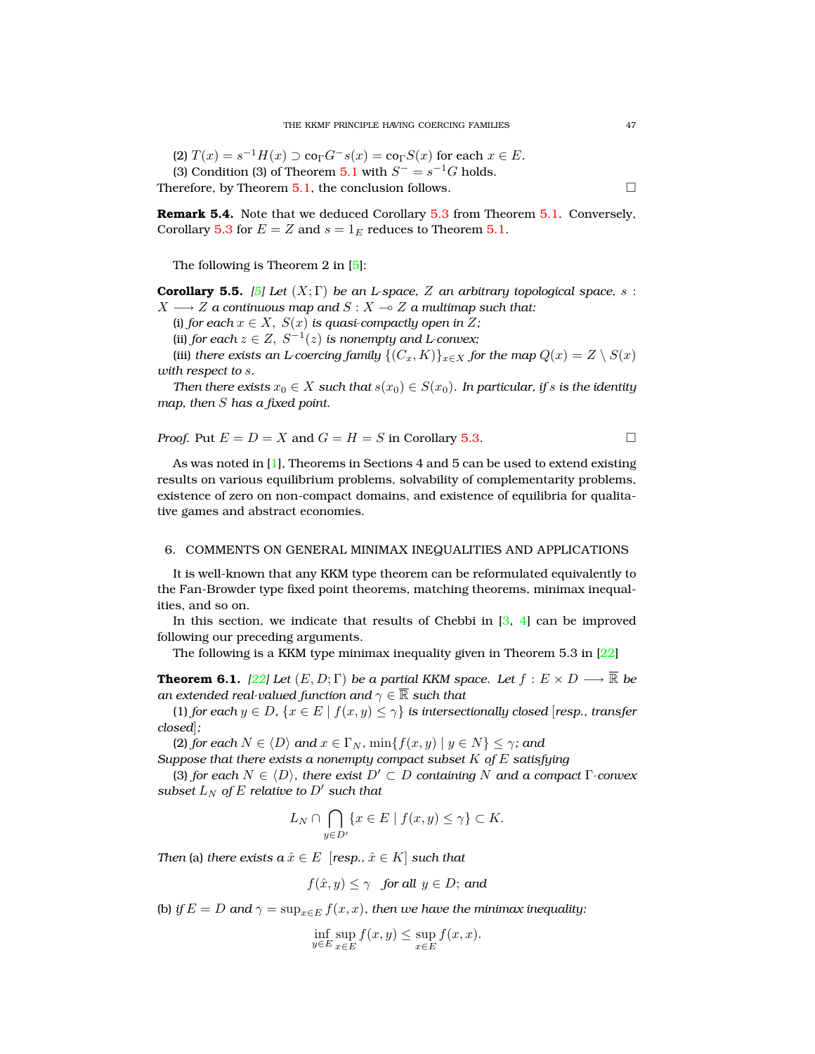(2)  $T(x) = s^{-1}H(x) \supset \text{co}_{\Gamma}G^{-}s(x) = \text{co}_{\Gamma}S(x)$  for each  $x \in E$ . (3) Condition (3) of Theorem [5.1](#page-6-0) with  $S^- = s^{-1}G$  holds. Therefore, by Theorem [5.1,](#page-6-0) the conclusion follows.  $\Box$ 

**Remark 5.4.** Note that we deduced Corollary [5.3](#page-7-0) from Theorem [5.1.](#page-6-0) Conversely, Corollary [5.3](#page-7-0) for  $E = Z$  and  $s = 1_E$  reduces to Theorem [5.1.](#page-6-0)

The following is Theorem 2 in [\[5\]](#page-9-1):

**Corollary 5.5.** *[\[5\]](#page-9-1)* Let  $(X; \Gamma)$  be an L-space, Z an arbitrary topological space, s:  $X \longrightarrow Z$  *a continuous map and*  $S : X \longrightarrow Z$  *a multimap such that:* 

(i) *for each*  $x \in X$ ,  $S(x)$  *is quasi-compactly open in*  $Z$ *;* 

(ii) *for each*  $z \in Z$ ,  $S^{-1}(z)$  *is nonempty and L-convex*;

(iii) *there exists an L-coercing family*  $\{(C_x, K)\}_{x \in X}$  *for the map*  $Q(x) = Z \setminus S(x)$ *with respect to* s*.*

*Then there exists*  $x_0 \in X$  *such that*  $s(x_0) \in S(x_0)$ *. In particular, if* s *is the identity map, then* S *has a fixed point.*

*Proof.* Put 
$$
E = D = X
$$
 and  $G = H = S$  in Corollary 5.3.

As was noted in  $[1]$ , Theorems in Sections 4 and 5 can be used to extend existing results on various equilibrium problems, solvability of complementarity problems, existence of zero on non-compact domains, and existence of equilibria for qualitative games and abstract economies.

#### 6. COMMENTS ON GENERAL MINIMAX INEQUALITIES AND APPLICATIONS

It is well-known that any KKM type theorem can be reformulated equivalently to the Fan-Browder type fixed point theorems, matching theorems, minimax inequalities, and so on.

In this section, we indicate that results of Chebbi in  $[3, 4]$  $[3, 4]$  $[3, 4]$  can be improved following our preceding arguments.

The following is a KKM type minimax inequality given in Theorem 5.3 in [\[22\]](#page-10-6)

<span id="page-8-0"></span>**Theorem 6.1.** *[\[22\]](#page-10-6)* Let  $(E, D; \Gamma)$  *be a partial KKM space. Let*  $f : E \times D \longrightarrow \overline{\mathbb{R}}$  *be an extended real-valued function and*  $\gamma \in \overline{\mathbb{R}}$  *such that* 

(1) *for each*  $y \in D$ ,  $\{x \in E \mid f(x, y) \leq \gamma\}$  *is intersectionally closed* [*resp., transfer closed*]*;*

(2) *for each*  $N \in \langle D \rangle$  *and*  $x \in \Gamma_N$ *,*  $\min\{f(x,y) \mid y \in N\} \leq \gamma$ *; and* 

*Suppose that there exists a nonempty compact subset* K *of* E *satisfying*

(3) *for each*  $N \in \langle D \rangle$ *, there exist*  $D' \subset D$  *containing* N *and a compact* Γ*-convex subset*  $L_N$  *of*  $E$  *relative to*  $D'$  *such that* 

$$
L_N \cap \bigcap_{y \in D'} \{x \in E \mid f(x, y) \le \gamma\} \subset K.
$$

*Then* (a) *there exists*  $a\,\hat{x} \in E$  [*resp.,*  $\hat{x} \in K$ ] *such that* 

$$
f(\hat{x}, y) \le \gamma
$$
 for all  $y \in D$ ; and

(b) *if*  $E = D$  and  $\gamma = \sup_{x \in E} f(x, x)$ , then we have the minimax inequality:

$$
\inf_{y \in E} \sup_{x \in E} f(x, y) \le \sup_{x \in E} f(x, x).
$$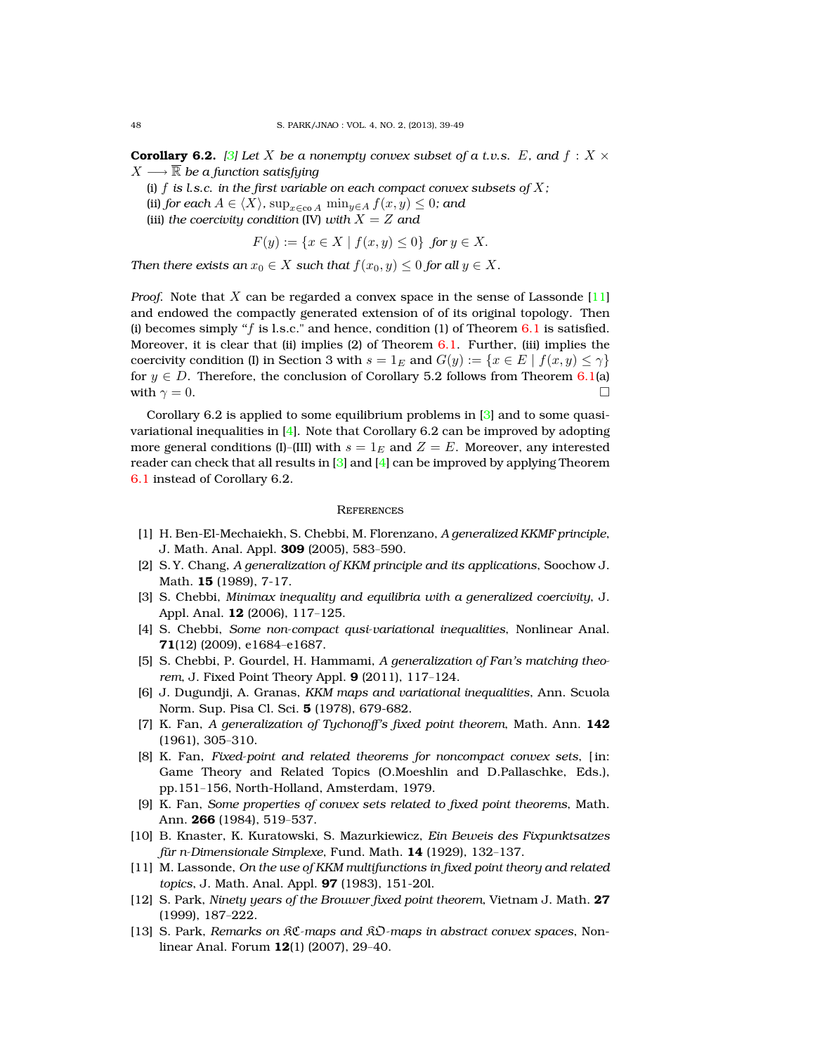**Corollary 6.2.** *[\[3\]](#page-9-2)* Let X be a nonempty convex subset of a t.v.s. E, and  $f: X \times Y$  $X \longrightarrow \mathbb{R}$  *be a function satisfying* 

(i)  $f$  *is l.s.c. in the first variable on each compact convex subsets of*  $X$ ;

- (ii) *for each*  $A \in \langle X \rangle$ *,*  $\sup_{x \in \text{co } A} \min_{y \in A} f(x, y) \leq 0$ *; and*
- (iii) *the coercivity condition* (IV) *with*  $X = Z$  *and*

$$
F(y) := \{ x \in X \mid f(x, y) \le 0 \} \text{ for } y \in X.
$$

*Then there exists an*  $x_0 \in X$  *such that*  $f(x_0, y) \leq 0$  *for all*  $y \in X$ *.* 

*Proof.* Note that X can be regarded a convex space in the sense of Lassonde [\[11\]](#page-9-11) and endowed the compactly generated extension of of its original topology. Then (i) becomes simply " $f$  is l.s.c." and hence, condition (1) of Theorem  $6.1$  is satisfied. Moreover, it is clear that (ii) implies (2) of Theorem  $6.1$ . Further, (iii) implies the coercivity condition (I) in Section 3 with  $s = 1_E$  and  $G(y) := \{x \in E \mid f(x, y) \leq \gamma\}$ for  $y \in D$ . Therefore, the conclusion of Corollary 5.2 follows from Theorem [6.1\(](#page-8-0)a) with  $\gamma = 0$ .

Corollary 6.2 is applied to some equilibrium problems in [\[3\]](#page-9-2) and to some quasivariational inequalities in  $[4]$ . Note that Corollary 6.2 can be improved by adopting more general conditions (I)–(III) with  $s = 1_E$  and  $Z = E$ . Moreover, any interested reader can check that all results in  $\lceil 3 \rceil$  and  $\lceil 4 \rceil$  can be improved by applying Theorem [6.1](#page-8-0) instead of Corollary 6.2.

# **REFERENCES**

- <span id="page-9-0"></span>[1] H. Ben-El-Mechaiekh, S. Chebbi, M. Florenzano, *A generalized KKMF principle*, J. Math. Anal. Appl. **309** (2005), 583–590.
- [2] S. Y. Chang, *A generalization of KKM principle and its applications*, Soochow J. Math. **15** (1989), 7-17.
- <span id="page-9-2"></span>[3] S. Chebbi, *Minimax inequality and equilibria with a generalized coercivity*, J. Appl. Anal. **12** (2006), 117–125.
- <span id="page-9-10"></span>[4] S. Chebbi, *Some non-compact qusi-variational inequalities*, Nonlinear Anal. **71**(12) (2009), e1684–e1687.
- <span id="page-9-1"></span>[5] S. Chebbi, P. Gourdel, H. Hammami, *A generalization of Fan's matching theorem*, J. Fixed Point Theory Appl. **9** (2011), 117–124.
- <span id="page-9-5"></span>[6] J. Dugundji, A. Granas, *KKM maps and variational inequalities*, Ann. Scuola Norm. Sup. Pisa Cl. Sci. **5** (1978), 679-682.
- <span id="page-9-7"></span>[7] K. Fan, *A generalization of Tychonoff's fixed point theorem*, Math. Ann. **142** (1961), 305–310.
- <span id="page-9-8"></span>[8] K. Fan, *Fixed-point and related theorems for noncompact convex sets*, [ in: Game Theory and Related Topics (O.Moeshlin and D.Pallaschke, Eds.), pp.151–156, North-Holland, Amsterdam, 1979.
- <span id="page-9-9"></span>[9] K. Fan, *Some properties of convex sets related to fixed point theorems*, Math. Ann. **266** (1984), 519–537.
- <span id="page-9-4"></span>[10] B. Knaster, K. Kuratowski, S. Mazurkiewicz, *Ein Beweis des Fixpunktsatzes fur n-Dimensionale Simplexe ¨* , Fund. Math. **14** (1929), 132–137.
- <span id="page-9-11"></span>[11] M. Lassonde, *On the use of KKM multifunctions in fixed point theory and related topics*, J. Math. Anal. Appl. **97** (1983), 151-20l.
- <span id="page-9-6"></span>[12] S. Park, *Ninety years of the Brouwer fixed point theorem*, Vietnam J. Math. **27** (1999), 187–222.
- <span id="page-9-3"></span>[13] S. Park, *Remarks on* KC*-maps and* KO*-maps in abstract convex spaces*, Nonlinear Anal. Forum **12**(1) (2007), 29–40.